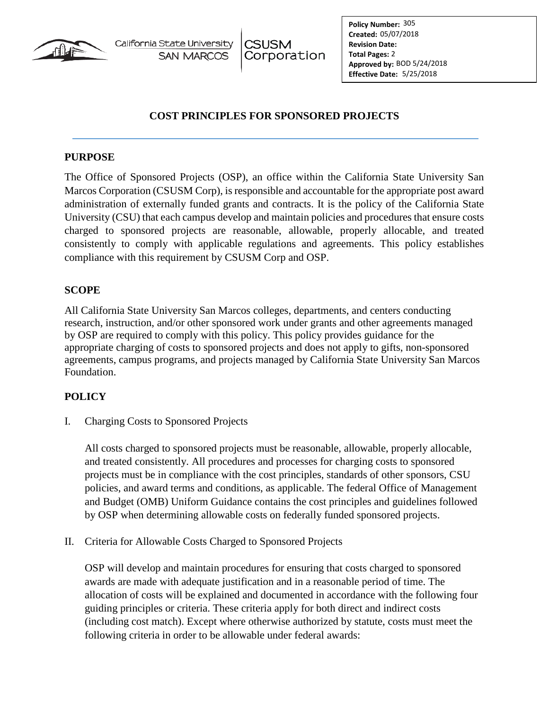

California State University **SAN MARCOS** 

# **COST PRINCIPLES FOR SPONSORED PROJECTS**

#### **PURPOSE**

The Office of Sponsored Projects (OSP), an office within the California State University San Marcos Corporation (CSUSM Corp), is responsible and accountable for the appropriate post award administration of externally funded grants and contracts. It is the policy of the California State University (CSU) that each campus develop and maintain policies and procedures that ensure costs charged to sponsored projects are reasonable, allowable, properly allocable, and treated consistently to comply with applicable regulations and agreements. This policy establishes compliance with this requirement by CSUSM Corp and OSP.

## **SCOPE**

All California State University San Marcos colleges, departments, and centers conducting research, instruction, and/or other sponsored work under grants and other agreements managed by OSP are required to comply with this policy. This policy provides guidance for the appropriate charging of costs to sponsored projects and does not apply to gifts, non-sponsored agreements, campus programs, and projects managed by California State University San Marcos Foundation.

## **POLICY**

I. Charging Costs to Sponsored Projects

All costs charged to sponsored projects must be reasonable, allowable, properly allocable, and treated consistently. All procedures and processes for charging costs to sponsored projects must be in compliance with the cost principles, standards of other sponsors, CSU policies, and award terms and conditions, as applicable. The federal Office of Management and Budget (OMB) Uniform Guidance contains the cost principles and guidelines followed by OSP when determining allowable costs on federally funded sponsored projects.

II. Criteria for Allowable Costs Charged to Sponsored Projects

OSP will develop and maintain procedures for ensuring that costs charged to sponsored awards are made with adequate justification and in a reasonable period of time. The allocation of costs will be explained and documented in accordance with the following four guiding principles or criteria. These criteria apply for both direct and indirect costs (including cost match). Except where otherwise authorized by statute, costs must meet the following criteria in order to be allowable under federal awards: